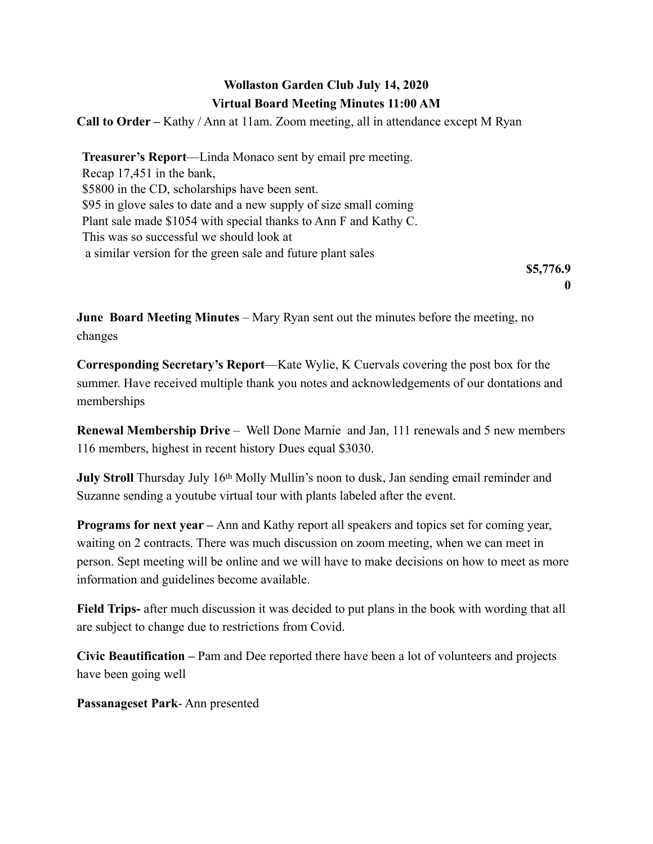## **Wollaston Garden Club July 14, 2020 Virtual Board Meeting Minutes 11:00 AM**

**Call to Order –** Kathy / Ann at 11am. Zoom meeting, all in attendance except M Ryan

**Treasurer's Report**—Linda Monaco sent by email pre meeting. Recap 17,451 in the bank, \$5800 in the CD, scholarships have been sent. \$95 in glove sales to date and a new supply of size small coming Plant sale made \$1054 with special thanks to Ann F and Kathy C. This was so successful we should look at a similar version for the green sale and future plant sales

> **\$5,776.9 0**

**June Board Meeting Minutes** – Mary Ryan sent out the minutes before the meeting, no changes

**Corresponding Secretary's Report**—Kate Wylie, K Cuervals covering the post box for the summer. Have received multiple thank you notes and acknowledgements of our dontations and memberships

**Renewal Membership Drive** – Well Done Marnie and Jan, 111 renewals and 5 new members 116 members, highest in recent history Dues equal \$3030.

**July Stroll** Thursday July 16th Molly Mullin's noon to dusk, Jan sending email reminder and Suzanne sending a youtube virtual tour with plants labeled after the event.

**Programs for next year –** Ann and Kathy report all speakers and topics set for coming year, waiting on 2 contracts. There was much discussion on zoom meeting, when we can meet in person. Sept meeting will be online and we will have to make decisions on how to meet as more information and guidelines become available.

**Field Trips-** after much discussion it was decided to put plans in the book with wording that all are subject to change due to restrictions from Covid.

**Civic Beautification –** Pam and Dee reported there have been a lot of volunteers and projects have been going well

**Passanageset Park**- Ann presented